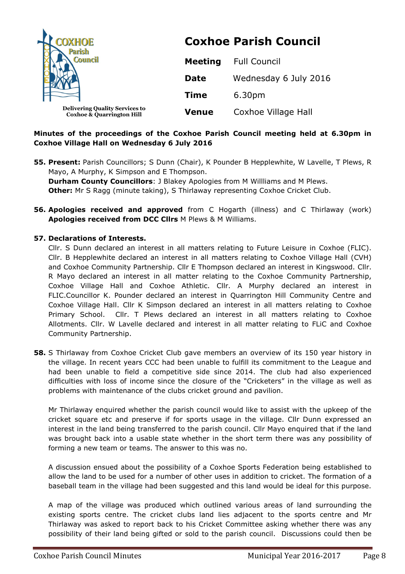| <b>DXHOE</b><br><b>Parish</b>                                                 | <b>Coxhoe Parish Council</b> |                       |
|-------------------------------------------------------------------------------|------------------------------|-----------------------|
| Council                                                                       | <b>Meeting</b>               | <b>Full Council</b>   |
|                                                                               | <b>Date</b>                  | Wednesday 6 July 2016 |
|                                                                               | <b>Time</b>                  | 6.30pm                |
| <b>Delivering Quality Services to</b><br><b>Coxhoe &amp; Quarrington Hill</b> | <b>Venue</b>                 | Coxhoe Village Hall   |

# **Minutes of the proceedings of the Coxhoe Parish Council meeting held at 6.30pm in Coxhoe Village Hall on Wednesday 6 July 2016**

- **55. Present:** Parish Councillors; S Dunn (Chair), K Pounder B Hepplewhite, W Lavelle, T Plews, R Mayo, A Murphy, K Simpson and E Thompson. **Durham County Councillors**: J Blakey Apologies from M Willliams and M Plews. **Other:** Mr S Ragg (minute taking), S Thirlaway representing Coxhoe Cricket Club.
- **56. Apologies received and approved** from C Hogarth (illness) and C Thirlaway (work) **Apologies received from DCC Cllrs** M Plews & M Williams.

## **57. Declarations of Interests.**

Cllr. S Dunn declared an interest in all matters relating to Future Leisure in Coxhoe (FLIC). Cllr. B Hepplewhite declared an interest in all matters relating to Coxhoe Village Hall (CVH) and Coxhoe Community Partnership. Cllr E Thompson declared an interest in Kingswood. Cllr. R Mayo declared an interest in all matter relating to the Coxhoe Community Partnership, Coxhoe Village Hall and Coxhoe Athletic. Cllr. A Murphy declared an interest in FLIC.Councillor K. Pounder declared an interest in Quarrington Hill Community Centre and Coxhoe Village Hall. Cllr K Simpson declared an interest in all matters relating to Coxhoe Primary School. Cllr. T Plews declared an interest in all matters relating to Coxhoe Allotments. Cllr. W Lavelle declared and interest in all matter relating to FLiC and Coxhoe Community Partnership.

**58.** S Thirlaway from Coxhoe Cricket Club gave members an overview of its 150 year history in the village. In recent years CCC had been unable to fulfill its commitment to the League and had been unable to field a competitive side since 2014. The club had also experienced difficulties with loss of income since the closure of the "Cricketers" in the village as well as problems with maintenance of the clubs cricket ground and pavilion.

Mr Thirlaway enquired whether the parish council would like to assist with the upkeep of the cricket square etc and preserve if for sports usage in the village. Cllr Dunn expressed an interest in the land being transferred to the parish council. Cllr Mayo enquired that if the land was brought back into a usable state whether in the short term there was any possibility of forming a new team or teams. The answer to this was no.

A discussion ensued about the possibility of a Coxhoe Sports Federation being established to allow the land to be used for a number of other uses in addition to cricket. The formation of a baseball team in the village had been suggested and this land would be ideal for this purpose.

A map of the village was produced which outlined various areas of land surrounding the existing sports centre. The cricket clubs land lies adjacent to the sports centre and Mr Thirlaway was asked to report back to his Cricket Committee asking whether there was any possibility of their land being gifted or sold to the parish council. Discussions could then be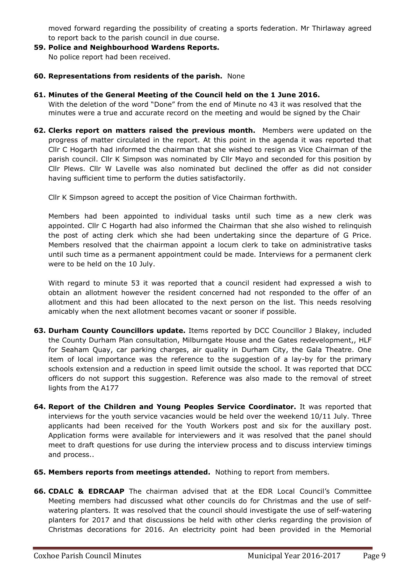moved forward regarding the possibility of creating a sports federation. Mr Thirlaway agreed to report back to the parish council in due course.

- **59. Police and Neighbourhood Wardens Reports.** No police report had been received.
- **60. Representations from residents of the parish.** None
- **61. Minutes of the General Meeting of the Council held on the 1 June 2016.**

With the deletion of the word "Done" from the end of Minute no 43 it was resolved that the minutes were a true and accurate record on the meeting and would be signed by the Chair

**62. Clerks report on matters raised the previous month.** Members were updated on the progress of matter circulated in the report. At this point in the agenda it was reported that Cllr C Hogarth had informed the chairman that she wished to resign as Vice Chairman of the parish council. Cllr K Simpson was nominated by Cllr Mayo and seconded for this position by Cllr Plews. Cllr W Lavelle was also nominated but declined the offer as did not consider having sufficient time to perform the duties satisfactorily.

Cllr K Simpson agreed to accept the position of Vice Chairman forthwith.

Members had been appointed to individual tasks until such time as a new clerk was appointed. Cllr C Hogarth had also informed the Chairman that she also wished to relinquish the post of acting clerk which she had been undertaking since the departure of G Price. Members resolved that the chairman appoint a locum clerk to take on administrative tasks until such time as a permanent appointment could be made. Interviews for a permanent clerk were to be held on the 10 July.

With regard to minute 53 it was reported that a council resident had expressed a wish to obtain an allotment however the resident concerned had not responded to the offer of an allotment and this had been allocated to the next person on the list. This needs resolving amicably when the next allotment becomes vacant or sooner if possible.

- **63. Durham County Councillors update.** Items reported by DCC Councillor J Blakey, included the County Durham Plan consultation, Milburngate House and the Gates redevelopment,, HLF for Seaham Quay, car parking charges, air quality in Durham City, the Gala Theatre. One item of local importance was the reference to the suggestion of a lay-by for the primary schools extension and a reduction in speed limit outside the school. It was reported that DCC officers do not support this suggestion. Reference was also made to the removal of street lights from the A177
- **64. Report of the Children and Young Peoples Service Coordinator.** It was reported that interviews for the youth service vacancies would be held over the weekend 10/11 July. Three applicants had been received for the Youth Workers post and six for the auxillary post. Application forms were available for interviewers and it was resolved that the panel should meet to draft questions for use during the interview process and to discuss interview timings and process..
- **65. Members reports from meetings attended.** Nothing to report from members.
- **66. CDALC & EDRCAAP** The chairman advised that at the EDR Local Council's Committee Meeting members had discussed what other councils do for Christmas and the use of selfwatering planters. It was resolved that the council should investigate the use of self-watering planters for 2017 and that discussions be held with other clerks regarding the provision of Christmas decorations for 2016. An electricity point had been provided in the Memorial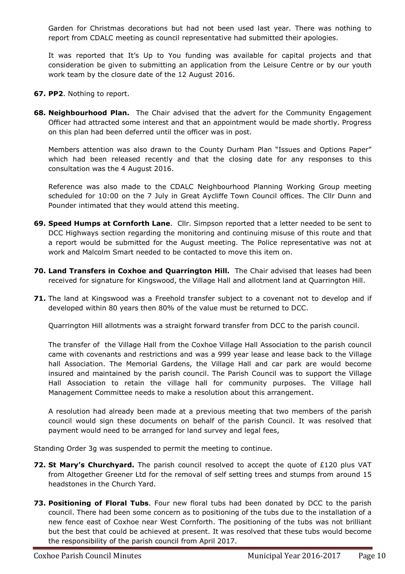Garden for Christmas decorations but had not been used last year. There was nothing to report from CDALC meeting as council representative had submitted their apologies.

It was reported that It's Up to You funding was available for capital projects and that consideration be given to submitting an application from the Leisure Centre or by our youth work team by the closure date of the 12 August 2016.

- **67. PP2**. Nothing to report.
- **68. Neighbourhood Plan.** The Chair advised that the advert for the Community Engagement Officer had attracted some interest and that an appointment would be made shortly. Progress on this plan had been deferred until the officer was in post.

Members attention was also drawn to the County Durham Plan "Issues and Options Paper" which had been released recently and that the closing date for any responses to this consultation was the 4 August 2016.

Reference was also made to the CDALC Neighbourhood Planning Working Group meeting scheduled for 10:00 on the 7 July in Great Aycliffe Town Council offices. The Cllr Dunn and Pounder intimated that they would attend this meeting.

- **69. Speed Humps at Cornforth Lane**. Cllr. Simpson reported that a letter needed to be sent to DCC Highways section regarding the monitoring and continuing misuse of this route and that a report would be submitted for the August meeting. The Police representative was not at work and Malcolm Smart needed to be contacted to move this item on.
- **70. Land Transfers in Coxhoe and Quarrington Hill.** The Chair advised that leases had been received for signature for Kingswood, the Village Hall and allotment land at Quarrington Hill.
- **71.** The land at Kingswood was a Freehold transfer subject to a covenant not to develop and if developed within 80 years then 80% of the value must be returned to DCC.

Quarrington Hill allotments was a straight forward transfer from DCC to the parish council.

The transfer of the Village Hall from the Coxhoe Village Hall Association to the parish council came with covenants and restrictions and was a 999 year lease and lease back to the Village hall Association. The Memorial Gardens, the Village Hall and car park are would become insured and maintained by the parish council. The Parish Council was to support the Village Hall Association to retain the village hall for community purposes. The Village hall Management Committee needs to make a resolution about this arrangement.

A resolution had already been made at a previous meeting that two members of the parish council would sign these documents on behalf of the parish Council. It was resolved that payment would need to be arranged for land survey and legal fees,

Standing Order 3g was suspended to permit the meeting to continue.

- **72. St Mary's Churchyard.** The parish council resolved to accept the quote of £120 plus VAT from Altogether Greener Ltd for the removal of self setting trees and stumps from around 15 headstones in the Church Yard.
- **73. Positioning of Floral Tubs**. Four new floral tubs had been donated by DCC to the parish council. There had been some concern as to positioning of the tubs due to the installation of a new fence east of Coxhoe near West Cornforth. The positioning of the tubs was not brilliant but the best that could be achieved at present. It was resolved that these tubs would become the responsibility of the parish council from April 2017.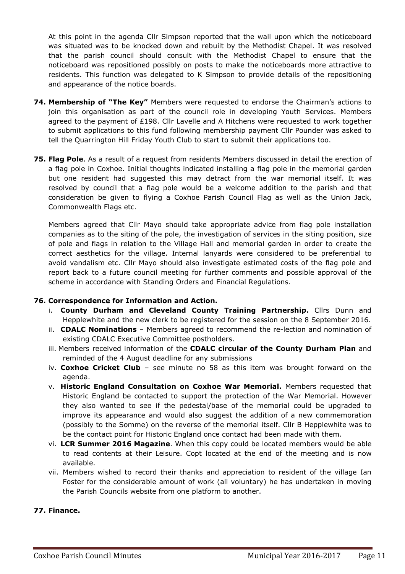At this point in the agenda Cllr Simpson reported that the wall upon which the noticeboard was situated was to be knocked down and rebuilt by the Methodist Chapel. It was resolved that the parish council should consult with the Methodist Chapel to ensure that the noticeboard was repositioned possibly on posts to make the noticeboards more attractive to residents. This function was delegated to K Simpson to provide details of the repositioning and appearance of the notice boards.

- **74. Membership of "The Key"** Members were requested to endorse the Chairman's actions to join this organisation as part of the council role in developing Youth Services. Members agreed to the payment of £198. Cllr Lavelle and A Hitchens were requested to work together to submit applications to this fund following membership payment Cllr Pounder was asked to tell the Quarrington Hill Friday Youth Club to start to submit their applications too.
- **75. Flag Pole**. As a result of a request from residents Members discussed in detail the erection of a flag pole in Coxhoe. Initial thoughts indicated installing a flag pole in the memorial garden but one resident had suggested this may detract from the war memorial itself. It was resolved by council that a flag pole would be a welcome addition to the parish and that consideration be given to flying a Coxhoe Parish Council Flag as well as the Union Jack, Commonwealth Flags etc.

Members agreed that Cllr Mayo should take appropriate advice from flag pole installation companies as to the siting of the pole, the investigation of services in the siting position, size of pole and flags in relation to the Village Hall and memorial garden in order to create the correct aesthetics for the village. Internal lanyards were considered to be preferential to avoid vandalism etc. Cllr Mayo should also investigate estimated costs of the flag pole and report back to a future council meeting for further comments and possible approval of the scheme in accordance with Standing Orders and Financial Regulations.

## **76. Correspondence for Information and Action.**

- i. **County Durham and Cleveland County Training Partnership.** Cllrs Dunn and Hepplewhite and the new clerk to be registered for the session on the 8 September 2016.
- ii. **CDALC Nominations** Members agreed to recommend the re-lection and nomination of existing CDALC Executive Committee postholders.
- iii. Members received information of the **CDALC circular of the County Durham Plan** and reminded of the 4 August deadline for any submissions
- iv. **Coxhoe Cricket Club** see minute no 58 as this item was brought forward on the agenda.
- v. **Historic England Consultation on Coxhoe War Memorial.** Members requested that Historic England be contacted to support the protection of the War Memorial. However they also wanted to see if the pedestal/base of the memorial could be upgraded to improve its appearance and would also suggest the addition of a new commemoration (possibly to the Somme) on the reverse of the memorial itself. Cllr B Hepplewhite was to be the contact point for Historic England once contact had been made with them.
- vi. **LCR Summer 2016 Magazine**. When this copy could be located members would be able to read contents at their Leisure. Copt located at the end of the meeting and is now available.
- vii. Members wished to record their thanks and appreciation to resident of the village Ian Foster for the considerable amount of work (all voluntary) he has undertaken in moving the Parish Councils website from one platform to another.

## **77. Finance.**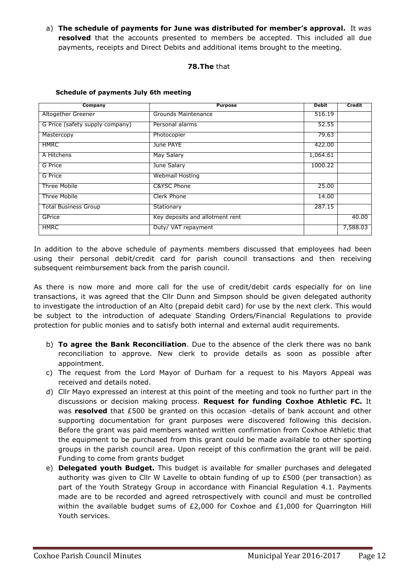a) **The schedule of payments for June was distributed for member's approval.** It was **resolved** that the accounts presented to members be accepted. This included all due payments, receipts and Direct Debits and additional items brought to the meeting.

## **78.The** that

| Company                         | <b>Purpose</b>                  | <b>Debit</b> | <b>Credit</b> |
|---------------------------------|---------------------------------|--------------|---------------|
| Altogether Greener              | Grounds Maintenance             | 516.19       |               |
| G Price (safety supply company) | Personal alarms                 | 52.55        |               |
| Mastercopy                      | Photocopier                     | 79.63        |               |
| <b>HMRC</b>                     | June PAYE                       | 422.00       |               |
| A Hitchens                      | May Salary                      | 1,064.61     |               |
| G Price                         | June Salary                     | 1000.22      |               |
| G Price                         | <b>Webmail Hosting</b>          |              |               |
| Three Mobile                    | C&YSC Phone                     | 25.00        |               |
| Three Mobile                    | Clerk Phone                     | 14.00        |               |
| <b>Total Business Group</b>     | Stationary                      | 287.15       |               |
| GPrice                          | Key deposits and allotment rent |              | 40.00         |
| <b>HMRC</b>                     | Duty/ VAT repayment             |              | 7,588.03      |

#### **Schedule of payments July 6th meeting**

In addition to the above schedule of payments members discussed that employees had been using their personal debit/credit card for parish council transactions and then receiving subsequent reimbursement back from the parish council.

As there is now more and more call for the use of credit/debit cards especially for on line transactions, it was agreed that the Cllr Dunn and Simpson should be given delegated authority to investigate the introduction of an Alto (prepaid debit card) for use by the next clerk. This would be subject to the introduction of adequate Standing Orders/Financial Regulations to provide protection for public monies and to satisfy both internal and external audit requirements.

- b) **To agree the Bank Reconciliation**. Due to the absence of the clerk there was no bank reconciliation to approve. New clerk to provide details as soon as possible after appointment.
- c) The request from the Lord Mayor of Durham for a request to his Mayors Appeal was received and details noted.
- d) Cllr Mayo expressed an interest at this point of the meeting and took no further part in the discussions or decision making process. **Request for funding Coxhoe Athletic FC.** It was **resolved** that £500 be granted on this occasion -details of bank account and other supporting documentation for grant purposes were discovered following this decision. Before the grant was paid members wanted written confirmation from Coxhoe Athletic that the equipment to be purchased from this grant could be made available to other sporting groups in the parish council area. Upon receipt of this confirmation the grant will be paid. Funding to come from grants budget
- e) **Delegated youth Budget.** This budget is available for smaller purchases and delegated authority was given to Cllr W Lavelle to obtain funding of up to £500 (per transaction) as part of the Youth Strategy Group in accordance with Financial Regulation 4.1. Payments made are to be recorded and agreed retrospectively with council and must be controlled within the available budget sums of £2,000 for Coxhoe and £1,000 for Quarrington Hill Youth services.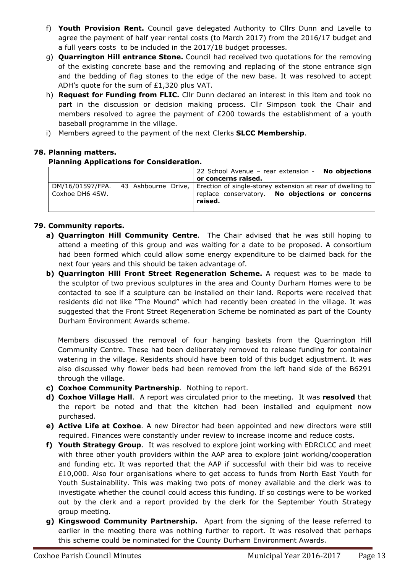- f) **Youth Provision Rent.** Council gave delegated Authority to Cllrs Dunn and Lavelle to agree the payment of half year rental costs (to March 2017) from the 2016/17 budget and a full years costs to be included in the 2017/18 budget processes.
- g) **Quarrington Hill entrance Stone.** Council had received two quotations for the removing of the existing concrete base and the removing and replacing of the stone entrance sign and the bedding of flag stones to the edge of the new base. It was resolved to accept ADH's quote for the sum of £1,320 plus VAT.
- h) **Request for Funding from FLIC.** Cllr Dunn declared an interest in this item and took no part in the discussion or decision making process. Cllr Simpson took the Chair and members resolved to agree the payment of £200 towards the establishment of a youth baseball programme in the village.
- i) Members agreed to the payment of the next Clerks **SLCC Membership**.

## **78. Planning matters.**

## **Planning Applications for Consideration.**

|                 | 22 School Avenue - rear extension - No objections<br>or concerns raised.                                                                                      |
|-----------------|---------------------------------------------------------------------------------------------------------------------------------------------------------------|
| Coxhoe DH6 4SW. | DM/16/01597/FPA. 43 Ashbourne Drive, Erection of single-storey extension at rear of dwelling to<br>replace conservatory. No objections or concerns<br>raised. |

## **79. Community reports.**

- **a) Quarrington Hill Community Centre**. The Chair advised that he was still hoping to attend a meeting of this group and was waiting for a date to be proposed. A consortium had been formed which could allow some energy expenditure to be claimed back for the next four years and this should be taken advantage of.
- **b) Quarrington Hill Front Street Regeneration Scheme.** A request was to be made to the sculptor of two previous sculptures in the area and County Durham Homes were to be contacted to see if a sculpture can be installed on their land. Reports were received that residents did not like "The Mound" which had recently been created in the village. It was suggested that the Front Street Regeneration Scheme be nominated as part of the County Durham Environment Awards scheme.

Members discussed the removal of four hanging baskets from the Quarrington Hill Community Centre. These had been deliberately removed to release funding for container watering in the village. Residents should have been told of this budget adjustment. It was also discussed why flower beds had been removed from the left hand side of the B6291 through the village.

- **c) Coxhoe Community Partnership**. Nothing to report.
- **d) Coxhoe Village Hall**. A report was circulated prior to the meeting. It was **resolved** that the report be noted and that the kitchen had been installed and equipment now purchased.
- **e) Active Life at Coxhoe**. A new Director had been appointed and new directors were still required. Finances were constantly under review to increase income and reduce costs.
- **f) Youth Strategy Group**. It was resolved to explore joint working with EDRCLCC and meet with three other youth providers within the AAP area to explore joint working/cooperation and funding etc. It was reported that the AAP if successful with their bid was to receive £10,000. Also four organisations where to get access to funds from North East Youth for Youth Sustainability. This was making two pots of money available and the clerk was to investigate whether the council could access this funding. If so costings were to be worked out by the clerk and a report provided by the clerk for the September Youth Strategy group meeting.
- **g) Kingswood Community Partnership.** Apart from the signing of the lease referred to earlier in the meeting there was nothing further to report. It was resolved that perhaps this scheme could be nominated for the County Durham Environment Awards.